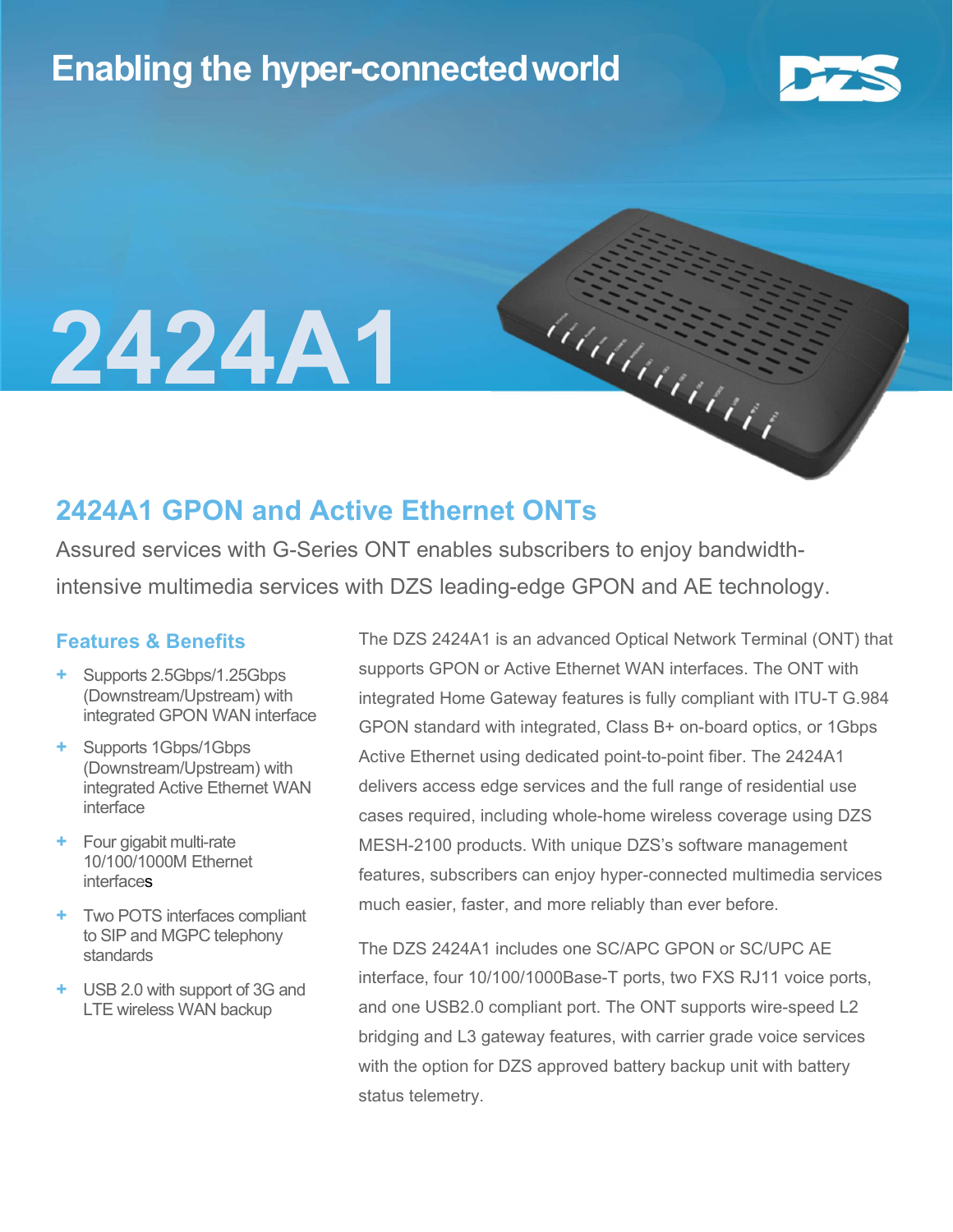## Enabling the hyper-connectedworld



# 2424A1

### 2424A1 GPON and Active Ethernet ONTs

Assured services with G-Series ONT enables subscribers to enjoy bandwidthintensive multimedia services with DZS leading-edge GPON and AE technology.

#### Features & Benefits

- + Supports 2.5Gbps/1.25Gbps (Downstream/Upstream) with integrated GPON WAN interface
- + Supports 1Gbps/1Gbps (Downstream/Upstream) with integrated Active Ethernet WAN interface
- Four gigabit multi-rate 10/100/1000M Ethernet interfaces
- + Two POTS interfaces compliant to SIP and MGPC telephony standards
- + USB 2.0 with support of 3G and LTE wireless WAN backup

The DZS 2424A1 is an advanced Optical Network Terminal (ONT) that supports GPON or Active Ethernet WAN interfaces. The ONT with integrated Home Gateway features is fully compliant with ITU-T G.984 GPON standard with integrated, Class B+ on-board optics, or 1Gbps Active Ethernet using dedicated point-to-point fiber. The 2424A1 delivers access edge services and the full range of residential use cases required, including whole-home wireless coverage using DZS MESH-2100 products. With unique DZS's software management features, subscribers can enjoy hyper-connected multimedia services much easier, faster, and more reliably than ever before.

haanaan

The DZS 2424A1 includes one SC/APC GPON or SC/UPC AE interface, four 10/100/1000Base-T ports, two FXS RJ11 voice ports, and one USB2.0 compliant port. The ONT supports wire-speed L2 bridging and L3 gateway features, with carrier grade voice services with the option for DZS approved battery backup unit with battery status telemetry.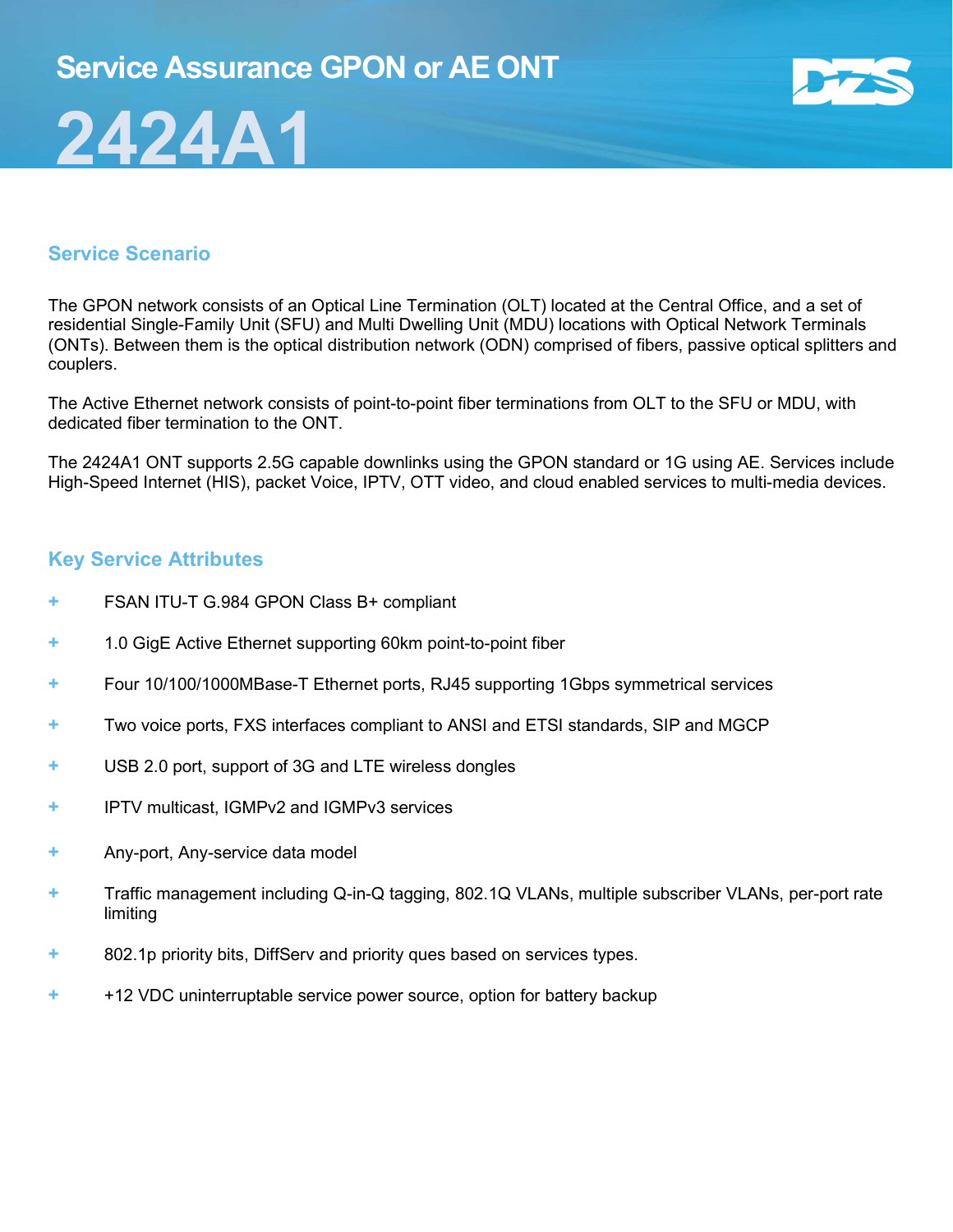## 2424A1



#### Service Scenario

The GPON network consists of an Optical Line Termination (OLT) located at the Central Office, and a set of residential Single-Family Unit (SFU) and Multi Dwelling Unit (MDU) locations with Optical Network Terminals (ONTs). Between them is the optical distribution network (ODN) comprised of fibers, passive optical splitters and couplers.

The Active Ethernet network consists of point-to-point fiber terminations from OLT to the SFU or MDU, with dedicated fiber termination to the ONT.

The 2424A1 ONT supports 2.5G capable downlinks using the GPON standard or 1G using AE. Services include High-Speed Internet (HIS), packet Voice, IPTV, OTT video, and cloud enabled services to multi-media devices.

#### Key Service Attributes

- + FSAN ITU-T G.984 GPON Class B+ compliant
- + 1.0 GigE Active Ethernet supporting 60km point-to-point fiber
- + Four 10/100/1000MBase-T Ethernet ports, RJ45 supporting 1Gbps symmetrical services
- + Two voice ports, FXS interfaces compliant to ANSI and ETSI standards, SIP and MGCP
- + USB 2.0 port, support of 3G and LTE wireless dongles
- + IPTV multicast, IGMPv2 and IGMPv3 services
- + Any-port, Any-service data model
- + Traffic management including Q-in-Q tagging, 802.1Q VLANs, multiple subscriber VLANs, per-port rate limiting
- + 802.1p priority bits, DiffServ and priority ques based on services types.
- + +12 VDC uninterruptable service power source, option for battery backup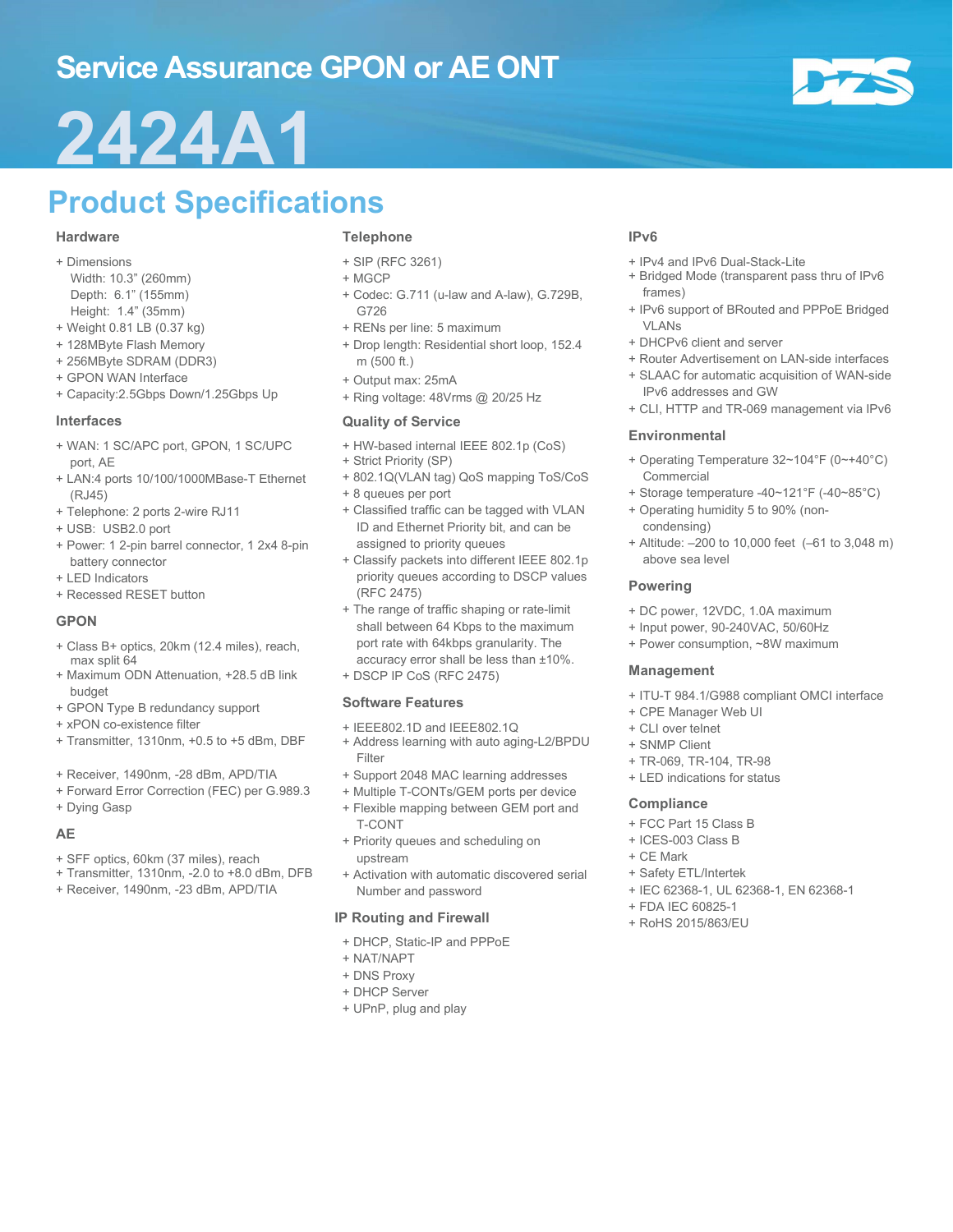## Service Assurance GPON or AE ONT

## 2424A1

## Product Specifications

#### Hardware

- + Dimensions
- Width: 10.3" (260mm) Depth: 6.1" (155mm)
- Height: 1.4" (35mm)
- + Weight 0.81 LB (0.37 kg)
- + 128MByte Flash Memory
- + 256MByte SDRAM (DDR3)
- + GPON WAN Interface
- + Capacity:2.5Gbps Down/1.25Gbps Up

#### Interfaces

- + WAN: 1 SC/APC port, GPON, 1 SC/UPC port, AE
- + LAN:4 ports 10/100/1000MBase-T Ethernet (RJ45)
- + Telephone: 2 ports 2-wire RJ11
- + USB: USB2.0 port
- + Power: 1 2-pin barrel connector, 1 2x4 8-pin battery connector
- + LED Indicators
- + Recessed RESET button

#### GPON

- + Class B+ optics, 20km (12.4 miles), reach, max split 64
- + Maximum ODN Attenuation, +28.5 dB link budget
- + GPON Type B redundancy support
- + xPON co-existence filter
- + Transmitter, 1310nm, +0.5 to +5 dBm, DBF
- + Receiver, 1490nm, -28 dBm, APD/TIA
- + Forward Error Correction (FEC) per G.989.3
- + Dying Gasp

#### AE

- + SFF optics, 60km (37 miles), reach
- + Transmitter, 1310nm, -2.0 to +8.0 dBm, DFB
- + Receiver, 1490nm, -23 dBm, APD/TIA

#### Telephone

- + SIP (RFC 3261)
- + MGCP
- + Codec: G.711 (u-law and A-law), G.729B, G726
- + RENs per line: 5 maximum
- + Drop length: Residential short loop, 152.4 m (500 ft.)
- + Output max: 25mA
- + Ring voltage: 48Vrms @ 20/25 Hz

#### Quality of Service

- + HW-based internal IEEE 802.1p (CoS)
- + Strict Priority (SP)
- + 802.1Q(VLAN tag) QoS mapping ToS/CoS
- + 8 queues per port
- + Classified traffic can be tagged with VLAN ID and Ethernet Priority bit, and can be assigned to priority queues
- + Classify packets into different IEEE 802.1p priority queues according to DSCP values (RFC 2475)
- + The range of traffic shaping or rate-limit shall between 64 Kbps to the maximum port rate with 64kbps granularity. The accuracy error shall be less than ±10%.
- + DSCP IP CoS (RFC 2475)

#### Software Features

- + IEEE802.1D and IEEE802.1Q
- + Address learning with auto aging-L2/BPDU Filter
- + Support 2048 MAC learning addresses
- + Multiple T-CONTs/GEM ports per device
- + Flexible mapping between GEM port and T-CONT
- + Priority queues and scheduling on upstream
- + Activation with automatic discovered serial Number and password

#### IP Routing and Firewall

- + DHCP, Static-IP and PPPoE
- + NAT/NAPT
- + DNS Proxy
- + DHCP Server
- + UPnP, plug and play

#### IPv6

- + IPv4 and IPv6 Dual-Stack-Lite
- + Bridged Mode (transparent pass thru of IPv6 frames)
- + IPv6 support of BRouted and PPPoE Bridged VLANs
- + DHCPv6 client and server
- + Router Advertisement on LAN-side interfaces
- + SLAAC for automatic acquisition of WAN-side IPv6 addresses and GW
- + CLI, HTTP and TR-069 management via IPv6

#### Environmental

- + Operating Temperature 32~104°F (0~+40°C) Commercial
- + Storage temperature -40~121°F (-40~85°C)
- + Operating humidity 5 to 90% (noncondensing)
- + Altitude: –200 to 10,000 feet (–61 to 3,048 m) above sea level

#### Powering

- + DC power, 12VDC, 1.0A maximum
- + Input power, 90-240VAC, 50/60Hz
- + Power consumption, ~8W maximum

#### Management

- + ITU-T 984.1/G988 compliant OMCI interface
- + CPE Manager Web UI
- + CLI over telnet
- + SNMP Client
- + TR-069, TR-104, TR-98
- + LED indications for status

#### **Compliance**

- + FCC Part 15 Class B
- + ICES-003 Class B
- + CE Mark
- + Safety ETL/Intertek
- + IEC 62368-1, UL 62368-1, EN 62368-1
- + FDA IEC 60825-1
- + RoHS 2015/863/EU